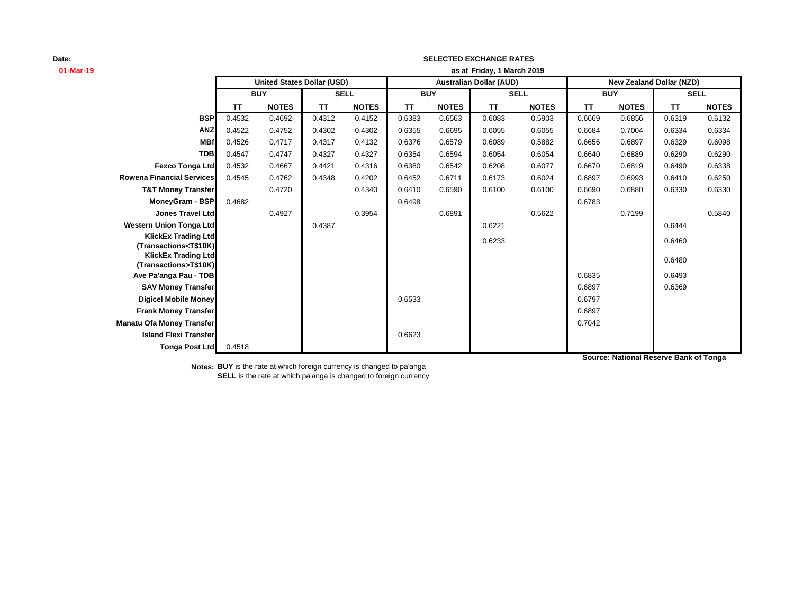**Date:**

### **SELECTED EXCHANGE RATES**

| 01-Mar-19                                                         |           |                                   |           |              |            |              | as at Friday, 1 March 2019     |              |                                 |              |             |              |
|-------------------------------------------------------------------|-----------|-----------------------------------|-----------|--------------|------------|--------------|--------------------------------|--------------|---------------------------------|--------------|-------------|--------------|
|                                                                   |           | <b>United States Dollar (USD)</b> |           |              |            |              | <b>Australian Dollar (AUD)</b> |              | <b>New Zealand Dollar (NZD)</b> |              |             |              |
|                                                                   |           | <b>BUY</b>                        |           | <b>SELL</b>  | <b>BUY</b> |              |                                | <b>SELL</b>  |                                 | <b>BUY</b>   | <b>SELL</b> |              |
|                                                                   | <b>TT</b> | <b>NOTES</b>                      | <b>TT</b> | <b>NOTES</b> | <b>TT</b>  | <b>NOTES</b> | <b>TT</b>                      | <b>NOTES</b> | <b>TT</b>                       | <b>NOTES</b> | <b>TT</b>   | <b>NOTES</b> |
| <b>BSP</b>                                                        | 0.4532    | 0.4692                            | 0.4312    | 0.4152       | 0.6383     | 0.6563       | 0.6083                         | 0.5903       | 0.6669                          | 0.6856       | 0.6319      | 0.6132       |
| <b>ANZ</b>                                                        | 0.4522    | 0.4752                            | 0.4302    | 0.4302       | 0.6355     | 0.6695       | 0.6055                         | 0.6055       | 0.6684                          | 0.7004       | 0.6334      | 0.6334       |
| <b>MBf</b>                                                        | 0.4526    | 0.4717                            | 0.4317    | 0.4132       | 0.6376     | 0.6579       | 0.6089                         | 0.5882       | 0.6656                          | 0.6897       | 0.6329      | 0.6098       |
| <b>TDB</b>                                                        | 0.4547    | 0.4747                            | 0.4327    | 0.4327       | 0.6354     | 0.6594       | 0.6054                         | 0.6054       | 0.6640                          | 0.6889       | 0.6290      | 0.6290       |
| Fexco Tonga Ltd                                                   | 0.4532    | 0.4667                            | 0.4421    | 0.4316       | 0.6380     | 0.6542       | 0.6208                         | 0.6077       | 0.6670                          | 0.6819       | 0.6490      | 0.6338       |
| <b>Rowena Financial Services</b>                                  | 0.4545    | 0.4762                            | 0.4348    | 0.4202       | 0.6452     | 0.6711       | 0.6173                         | 0.6024       | 0.6897                          | 0.6993       | 0.6410      | 0.6250       |
| <b>T&amp;T Money Transfer</b>                                     |           | 0.4720                            |           | 0.4340       | 0.6410     | 0.6590       | 0.6100                         | 0.6100       | 0.6690                          | 0.6880       | 0.6330      | 0.6330       |
| MoneyGram - BSP                                                   | 0.4682    |                                   |           |              | 0.6498     |              |                                |              | 0.6783                          |              |             |              |
| <b>Jones Travel Ltd</b>                                           |           | 0.4927                            |           | 0.3954       |            | 0.6891       |                                | 0.5622       |                                 | 0.7199       |             | 0.5840       |
| <b>Western Union Tonga Ltd</b>                                    |           |                                   | 0.4387    |              |            |              | 0.6221                         |              |                                 |              | 0.6444      |              |
| <b>KlickEx Trading Ltd</b>                                        |           |                                   |           |              |            |              | 0.6233                         |              |                                 |              | 0.6460      |              |
| (Transactions <t\$10k)<br><b>KlickEx Trading Ltd</b></t\$10k)<br> |           |                                   |           |              |            |              |                                |              |                                 |              |             |              |
| (Transactions>T\$10K)                                             |           |                                   |           |              |            |              |                                |              |                                 |              | 0.6480      |              |
| Ave Pa'anga Pau - TDB                                             |           |                                   |           |              |            |              |                                |              | 0.6835                          |              | 0.6493      |              |
| <b>SAV Money Transfer</b>                                         |           |                                   |           |              |            |              |                                |              | 0.6897                          |              | 0.6369      |              |
| <b>Digicel Mobile Money</b>                                       |           |                                   |           |              | 0.6533     |              |                                |              | 0.6797                          |              |             |              |
| <b>Frank Money Transfer</b>                                       |           |                                   |           |              |            |              |                                |              | 0.6897                          |              |             |              |
| <b>Manatu Ofa Money Transfer</b>                                  |           |                                   |           |              |            |              |                                |              | 0.7042                          |              |             |              |
| <b>Island Flexi Transfer</b>                                      |           |                                   |           |              | 0.6623     |              |                                |              |                                 |              |             |              |
| <b>Tonga Post Ltd</b>                                             | 0.4518    |                                   |           |              |            |              |                                |              |                                 |              |             |              |

**Source: National Reserve Bank of Tonga**

**Notes: BUY** is the rate at which foreign currency is changed to pa'anga **SELL** is the rate at which pa'anga is changed to foreign currency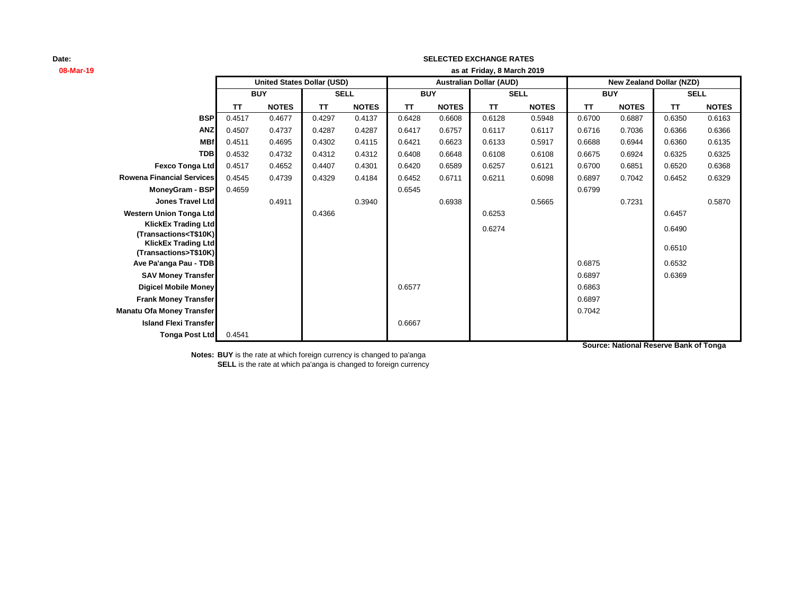**Date:**

### **SELECTED EXCHANGE RATES**

| 08-Mar-19                                                         |           |                                   |             |              |            |              | as at Friday, 8 March 2019     |              |            |              |                                        |              |
|-------------------------------------------------------------------|-----------|-----------------------------------|-------------|--------------|------------|--------------|--------------------------------|--------------|------------|--------------|----------------------------------------|--------------|
|                                                                   |           | <b>United States Dollar (USD)</b> |             |              |            |              | <b>Australian Dollar (AUD)</b> |              |            |              | <b>New Zealand Dollar (NZD)</b>        |              |
|                                                                   |           | <b>BUY</b>                        | <b>SELL</b> |              | <b>BUY</b> |              | <b>SELL</b>                    |              | <b>BUY</b> |              |                                        | <b>SELL</b>  |
|                                                                   | <b>TT</b> | <b>NOTES</b>                      | <b>TT</b>   | <b>NOTES</b> | <b>TT</b>  | <b>NOTES</b> | <b>TT</b>                      | <b>NOTES</b> | <b>TT</b>  | <b>NOTES</b> | <b>TT</b>                              | <b>NOTES</b> |
| <b>BSP</b>                                                        | 0.4517    | 0.4677                            | 0.4297      | 0.4137       | 0.6428     | 0.6608       | 0.6128                         | 0.5948       | 0.6700     | 0.6887       | 0.6350                                 | 0.6163       |
| <b>ANZ</b>                                                        | 0.4507    | 0.4737                            | 0.4287      | 0.4287       | 0.6417     | 0.6757       | 0.6117                         | 0.6117       | 0.6716     | 0.7036       | 0.6366                                 | 0.6366       |
| <b>MBf</b>                                                        | 0.4511    | 0.4695                            | 0.4302      | 0.4115       | 0.6421     | 0.6623       | 0.6133                         | 0.5917       | 0.6688     | 0.6944       | 0.6360                                 | 0.6135       |
| <b>TDB</b>                                                        | 0.4532    | 0.4732                            | 0.4312      | 0.4312       | 0.6408     | 0.6648       | 0.6108                         | 0.6108       | 0.6675     | 0.6924       | 0.6325                                 | 0.6325       |
| Fexco Tonga Ltd                                                   | 0.4517    | 0.4652                            | 0.4407      | 0.4301       | 0.6420     | 0.6589       | 0.6257                         | 0.6121       | 0.6700     | 0.6851       | 0.6520                                 | 0.6368       |
| <b>Rowena Financial Services</b>                                  | 0.4545    | 0.4739                            | 0.4329      | 0.4184       | 0.6452     | 0.6711       | 0.6211                         | 0.6098       | 0.6897     | 0.7042       | 0.6452                                 | 0.6329       |
| MoneyGram - BSP                                                   | 0.4659    |                                   |             |              | 0.6545     |              |                                |              | 0.6799     |              |                                        |              |
| Jones Travel Ltd                                                  |           | 0.4911                            |             | 0.3940       |            | 0.6938       |                                | 0.5665       |            | 0.7231       |                                        | 0.5870       |
| <b>Western Union Tonga Ltd</b>                                    |           |                                   | 0.4366      |              |            |              | 0.6253                         |              |            |              | 0.6457                                 |              |
| <b>KlickEx Trading Ltd</b>                                        |           |                                   |             |              |            |              | 0.6274                         |              |            |              | 0.6490                                 |              |
| (Transactions <t\$10k)<br><b>KlickEx Trading Ltd</b></t\$10k)<br> |           |                                   |             |              |            |              |                                |              |            |              |                                        |              |
| (Transactions>T\$10K)                                             |           |                                   |             |              |            |              |                                |              |            |              | 0.6510                                 |              |
| Ave Pa'anga Pau - TDB                                             |           |                                   |             |              |            |              |                                |              | 0.6875     |              | 0.6532                                 |              |
| <b>SAV Money Transfer</b>                                         |           |                                   |             |              |            |              |                                |              | 0.6897     |              | 0.6369                                 |              |
| <b>Digicel Mobile Money</b>                                       |           |                                   |             |              | 0.6577     |              |                                |              | 0.6863     |              |                                        |              |
| <b>Frank Money Transfer</b>                                       |           |                                   |             |              |            |              |                                |              | 0.6897     |              |                                        |              |
| <b>Manatu Ofa Money Transfer</b>                                  |           |                                   |             |              |            |              |                                |              | 0.7042     |              |                                        |              |
| <b>Island Flexi Transfer</b>                                      |           |                                   |             |              | 0.6667     |              |                                |              |            |              |                                        |              |
| <b>Tonga Post Ltd</b>                                             | 0.4541    |                                   |             |              |            |              |                                |              |            |              |                                        |              |
|                                                                   |           |                                   |             |              |            |              |                                |              |            |              | Source: National Reserve Bank of Tonga |              |

**Notes: BUY** is the rate at which foreign currency is changed to pa'anga **SELL** is the rate at which pa'anga is changed to foreign currency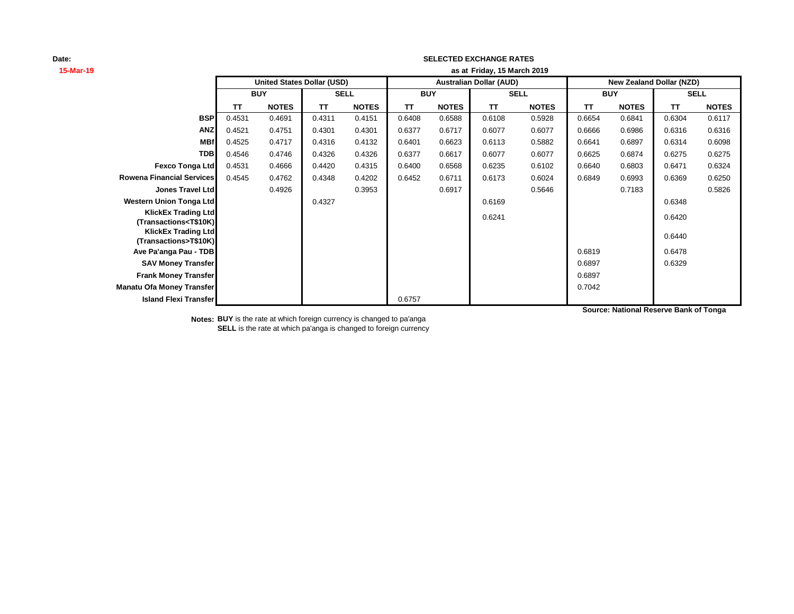**Date:**

## **SELECTED EXCHANGE RATES**

| 15-Mar-19                                                                                       | as at Friday, 15 March 2019 |                                   |           |              |            |              |                                |              |           |              |                          |              |  |
|-------------------------------------------------------------------------------------------------|-----------------------------|-----------------------------------|-----------|--------------|------------|--------------|--------------------------------|--------------|-----------|--------------|--------------------------|--------------|--|
|                                                                                                 |                             | <b>United States Dollar (USD)</b> |           |              |            |              | <b>Australian Dollar (AUD)</b> |              |           |              | New Zealand Dollar (NZD) |              |  |
|                                                                                                 |                             | <b>BUY</b>                        |           | <b>SELL</b>  | <b>BUY</b> |              |                                | <b>SELL</b>  |           | <b>BUY</b>   | <b>SELL</b>              |              |  |
|                                                                                                 | <b>TT</b>                   | <b>NOTES</b>                      | <b>TT</b> | <b>NOTES</b> | <b>TT</b>  | <b>NOTES</b> | <b>TT</b>                      | <b>NOTES</b> | <b>TT</b> | <b>NOTES</b> | <b>TT</b>                | <b>NOTES</b> |  |
| <b>BSP</b>                                                                                      | 0.4531                      | 0.4691                            | 0.4311    | 0.4151       | 0.6408     | 0.6588       | 0.6108                         | 0.5928       | 0.6654    | 0.6841       | 0.6304                   | 0.6117       |  |
| <b>ANZ</b>                                                                                      | 0.4521                      | 0.4751                            | 0.4301    | 0.4301       | 0.6377     | 0.6717       | 0.6077                         | 0.6077       | 0.6666    | 0.6986       | 0.6316                   | 0.6316       |  |
| <b>MBf</b>                                                                                      | 0.4525                      | 0.4717                            | 0.4316    | 0.4132       | 0.6401     | 0.6623       | 0.6113                         | 0.5882       | 0.6641    | 0.6897       | 0.6314                   | 0.6098       |  |
| <b>TDB</b>                                                                                      | 0.4546                      | 0.4746                            | 0.4326    | 0.4326       | 0.6377     | 0.6617       | 0.6077                         | 0.6077       | 0.6625    | 0.6874       | 0.6275                   | 0.6275       |  |
| Fexco Tonga Ltd                                                                                 | 0.4531                      | 0.4666                            | 0.4420    | 0.4315       | 0.6400     | 0.6568       | 0.6235                         | 0.6102       | 0.6640    | 0.6803       | 0.6471                   | 0.6324       |  |
| <b>Rowena Financial Services</b>                                                                | 0.4545                      | 0.4762                            | 0.4348    | 0.4202       | 0.6452     | 0.6711       | 0.6173                         | 0.6024       | 0.6849    | 0.6993       | 0.6369                   | 0.6250       |  |
| <b>Jones Travel Ltd</b>                                                                         |                             | 0.4926                            |           | 0.3953       |            | 0.6917       |                                | 0.5646       |           | 0.7183       |                          | 0.5826       |  |
| <b>Western Union Tonga Ltd</b>                                                                  |                             |                                   | 0.4327    |              |            |              | 0.6169                         |              |           |              | 0.6348                   |              |  |
| <b>KlickEx Trading Ltd</b><br>(Transactions <t\$10k)<br><b>KlickEx Trading Ltd</b></t\$10k)<br> |                             |                                   |           |              |            |              | 0.6241                         |              |           |              | 0.6420<br>0.6440         |              |  |
| (Transactions>T\$10K)<br>Ave Pa'anga Pau - TDB                                                  |                             |                                   |           |              |            |              |                                |              | 0.6819    |              | 0.6478                   |              |  |
| <b>SAV Money Transfer</b>                                                                       |                             |                                   |           |              |            |              |                                |              | 0.6897    |              | 0.6329                   |              |  |
| <b>Frank Money Transfer</b>                                                                     |                             |                                   |           |              |            |              |                                |              | 0.6897    |              |                          |              |  |
| <b>Manatu Ofa Money Transfer</b>                                                                |                             |                                   |           |              |            |              |                                |              | 0.7042    |              |                          |              |  |
| <b>Island Flexi Transfer</b>                                                                    |                             |                                   |           |              | 0.6757     |              |                                |              |           |              |                          |              |  |

**Source: National Reserve Bank of Tonga**

**Notes: BUY** is the rate at which foreign currency is changed to pa'anga **SELL** is the rate at which pa'anga is changed to foreign currency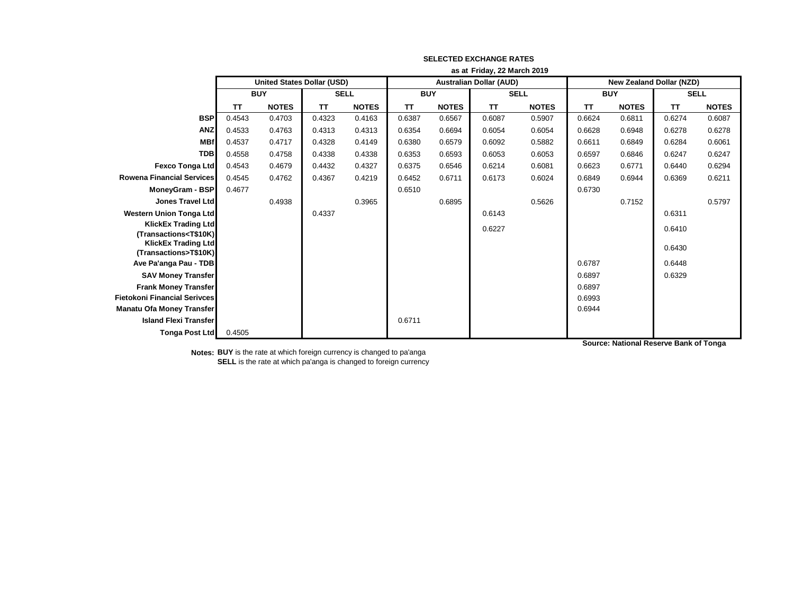|                                                                   | as at Friday, 22 March 2019 |                                   |             |              |            |              |                                |              |            |              |                                 |              |
|-------------------------------------------------------------------|-----------------------------|-----------------------------------|-------------|--------------|------------|--------------|--------------------------------|--------------|------------|--------------|---------------------------------|--------------|
|                                                                   |                             | <b>United States Dollar (USD)</b> |             |              |            |              | <b>Australian Dollar (AUD)</b> |              |            |              | <b>New Zealand Dollar (NZD)</b> |              |
|                                                                   |                             | <b>BUY</b>                        | <b>SELL</b> |              | <b>BUY</b> |              | <b>SELL</b>                    |              | <b>BUY</b> |              | <b>SELL</b>                     |              |
|                                                                   | <b>TT</b>                   | <b>NOTES</b>                      | <b>TT</b>   | <b>NOTES</b> | <b>TT</b>  | <b>NOTES</b> | <b>TT</b>                      | <b>NOTES</b> | <b>TT</b>  | <b>NOTES</b> | <b>TT</b>                       | <b>NOTES</b> |
| <b>BSP</b>                                                        | 0.4543                      | 0.4703                            | 0.4323      | 0.4163       | 0.6387     | 0.6567       | 0.6087                         | 0.5907       | 0.6624     | 0.6811       | 0.6274                          | 0.6087       |
| <b>ANZ</b>                                                        | 0.4533                      | 0.4763                            | 0.4313      | 0.4313       | 0.6354     | 0.6694       | 0.6054                         | 0.6054       | 0.6628     | 0.6948       | 0.6278                          | 0.6278       |
| <b>MBf</b>                                                        | 0.4537                      | 0.4717                            | 0.4328      | 0.4149       | 0.6380     | 0.6579       | 0.6092                         | 0.5882       | 0.6611     | 0.6849       | 0.6284                          | 0.6061       |
| <b>TDB</b>                                                        | 0.4558                      | 0.4758                            | 0.4338      | 0.4338       | 0.6353     | 0.6593       | 0.6053                         | 0.6053       | 0.6597     | 0.6846       | 0.6247                          | 0.6247       |
| <b>Fexco Tonga Ltd</b>                                            | 0.4543                      | 0.4679                            | 0.4432      | 0.4327       | 0.6375     | 0.6546       | 0.6214                         | 0.6081       | 0.6623     | 0.6771       | 0.6440                          | 0.6294       |
| <b>Rowena Financial Services</b>                                  | 0.4545                      | 0.4762                            | 0.4367      | 0.4219       | 0.6452     | 0.6711       | 0.6173                         | 0.6024       | 0.6849     | 0.6944       | 0.6369                          | 0.6211       |
| <b>MoneyGram - BSP</b>                                            | 0.4677                      |                                   |             |              | 0.6510     |              |                                |              | 0.6730     |              |                                 |              |
| Jones Travel Ltd                                                  |                             | 0.4938                            |             | 0.3965       |            | 0.6895       |                                | 0.5626       |            | 0.7152       |                                 | 0.5797       |
| <b>Western Union Tonga Ltd</b>                                    |                             |                                   | 0.4337      |              |            |              | 0.6143                         |              |            |              | 0.6311                          |              |
| <b>KlickEx Trading Ltd</b>                                        |                             |                                   |             |              |            |              | 0.6227                         |              |            |              | 0.6410                          |              |
| (Transactions <t\$10k)<br><b>KlickEx Trading Ltd</b></t\$10k)<br> |                             |                                   |             |              |            |              |                                |              |            |              |                                 |              |
| (Transactions>T\$10K)                                             |                             |                                   |             |              |            |              |                                |              |            |              | 0.6430                          |              |
| Ave Pa'anga Pau - TDB                                             |                             |                                   |             |              |            |              |                                |              | 0.6787     |              | 0.6448                          |              |
| <b>SAV Money Transfer</b>                                         |                             |                                   |             |              |            |              |                                |              | 0.6897     |              | 0.6329                          |              |
| <b>Frank Money Transfer</b>                                       |                             |                                   |             |              |            |              |                                |              | 0.6897     |              |                                 |              |
| <b>Fietokoni Financial Serivces</b>                               |                             |                                   |             |              |            |              |                                |              | 0.6993     |              |                                 |              |
| <b>Manatu Ofa Money Transfer</b>                                  |                             |                                   |             |              |            |              |                                |              | 0.6944     |              |                                 |              |
| <b>Island Flexi Transfer</b>                                      |                             |                                   |             |              | 0.6711     |              |                                |              |            |              |                                 |              |
| <b>Tonga Post Ltd</b>                                             | 0.4505                      |                                   |             |              |            |              |                                |              |            |              |                                 |              |

# **SELECTED EXCHANGE RATES**

**Notes: BUY** is the rate at which foreign currency is changed to pa'anga **SELL** is the rate at which pa'anga is changed to foreign currency **Source: National Reserve Bank of Tonga**